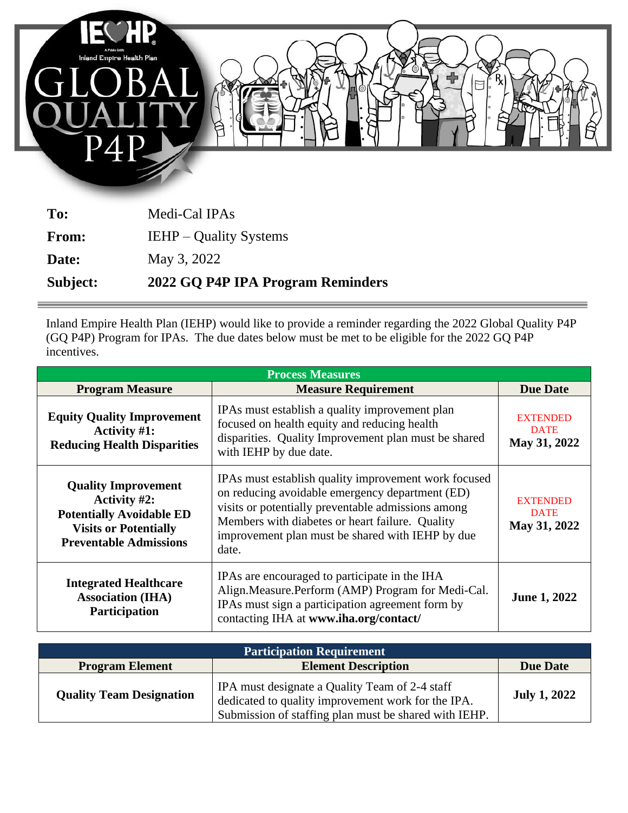Ξ

| Subject:     | 2022 GQ P4P IPA Program Reminders |
|--------------|-----------------------------------|
| Date:        | May 3, 2022                       |
| <b>From:</b> | <b>IEHP</b> – Quality Systems     |
| To:          | Medi-Cal IPAs                     |

Inland Empire Health Plan (IEHP) would like to provide a reminder regarding the 2022 Global Quality P4P (GQ P4P) Program for IPAs. The due dates below must be met to be eligible for the 2022 GQ P4P incentives.

⊕

R, ð

| <b>Process Measures</b>                                                                                                                        |                                                                                                                                                                                                                                                                               |                                                |  |  |
|------------------------------------------------------------------------------------------------------------------------------------------------|-------------------------------------------------------------------------------------------------------------------------------------------------------------------------------------------------------------------------------------------------------------------------------|------------------------------------------------|--|--|
| <b>Program Measure</b>                                                                                                                         | <b>Measure Requirement</b>                                                                                                                                                                                                                                                    | <b>Due Date</b>                                |  |  |
| <b>Equity Quality Improvement</b><br><b>Activity #1:</b><br><b>Reducing Health Disparities</b>                                                 | IPAs must establish a quality improvement plan<br>focused on health equity and reducing health<br>disparities. Quality Improvement plan must be shared<br>with IEHP by due date.                                                                                              | <b>EXTENDED</b><br><b>DATE</b><br>May 31, 2022 |  |  |
| <b>Quality Improvement</b><br>Activity #2:<br><b>Potentially Avoidable ED</b><br><b>Visits or Potentially</b><br><b>Preventable Admissions</b> | IPAs must establish quality improvement work focused<br>on reducing avoidable emergency department (ED)<br>visits or potentially preventable admissions among<br>Members with diabetes or heart failure. Quality<br>improvement plan must be shared with IEHP by due<br>date. | <b>EXTENDED</b><br><b>DATE</b><br>May 31, 2022 |  |  |
| <b>Integrated Healthcare</b><br><b>Association (IHA)</b><br>Participation                                                                      | IPAs are encouraged to participate in the IHA<br>Align.Measure.Perform (AMP) Program for Medi-Cal.<br>IPAs must sign a participation agreement form by<br>contacting IHA at www.iha.org/contact/                                                                              | <b>June 1, 2022</b>                            |  |  |

| <b>Participation Requirement</b> |                                                                                                                                                               |                     |  |  |
|----------------------------------|---------------------------------------------------------------------------------------------------------------------------------------------------------------|---------------------|--|--|
| <b>Program Element</b>           | <b>Element Description</b>                                                                                                                                    | <b>Due Date</b>     |  |  |
| <b>Quality Team Designation</b>  | IPA must designate a Quality Team of 2-4 staff<br>dedicated to quality improvement work for the IPA.<br>Submission of staffing plan must be shared with IEHP. | <b>July 1, 2022</b> |  |  |